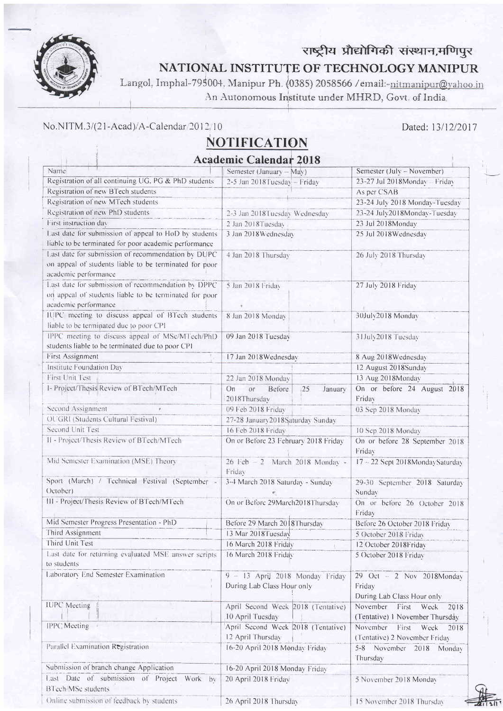

## राष्ट्रीय प्रौद्योगिकी संस्थान,मणिपुर NATIONAL INSTITUTE OF TECHNOLOGY MANIPUR

Langol, Imphal-795004, Manipur Ph. (0385) 2058566 / email:-nitmanipur@yahoo.in An Autonomous Institute under MHRD, Govt. of India.

## No.NITM.3/(21-Acad)/A-Calendar/2012/10

Online submission of feedback by students

## **NOTIFICATION**

Dated: 13/12/2017

| <b>Academic Calendar 2018</b>                                                                                                        |                                                               |                                                                      |
|--------------------------------------------------------------------------------------------------------------------------------------|---------------------------------------------------------------|----------------------------------------------------------------------|
| Name                                                                                                                                 | Semester (January - May)                                      | Semester (July - November)                                           |
| Registration of all continuing UG. PG & PhD students                                                                                 | 2-5 Jan 2018 Tuesday - Friday                                 | 23-27 Jul 2018Monday - Friday                                        |
| Registration of new BTech students                                                                                                   |                                                               | As per CSAB                                                          |
| Registration of new MTech students                                                                                                   |                                                               | 23-24 July 2018 Monday-Tuesday                                       |
| Registration of new PhD students                                                                                                     | 2-3 Jan 2018Tuesday Wednesday                                 | 23-24 July2018Monday-Tuesday                                         |
| First instruction day                                                                                                                | 2 Jan 2018Tuesday                                             | 23 Jul 2018Monday                                                    |
| Last date for submission of appeal to HoD by students<br>liable to be terminated for poor academic performance                       | 3 Jan 2018 Wednesday                                          | 25 Jul 2018 Wednesday                                                |
| Last date for submission of recommendation by DUPC<br>on appeal of students liable to be terminated for poor<br>academic performance | 4 Jan 2018 Thursday                                           | 26 July 2018 Thursday                                                |
| Last date for submission of recommendation by DPPC<br>on appeal of students liable to be terminated for poor<br>academic performance | 5 Jan 2018 Friday                                             | 27 July 2018 Friday                                                  |
| IUPC meeting to discuss appeal of BTech students<br>liable to be terminated due to poor CPI                                          | 8 Jan 2018 Monday                                             | 30July2018 Monday                                                    |
| IPPC meeting to discuss appeal of MSc/MTech/PhD<br>students liable to be terminated due to poor CPI                                  | 09 Jan 2018 Tuesday                                           | 31July2018 Tuesday                                                   |
| <b>First Assignment</b>                                                                                                              | 17 Jan 2018 Wednesday                                         | 8 Aug 2018 Wednesday                                                 |
| Institute Foundation Day                                                                                                             |                                                               | 12 August 2018Sunday                                                 |
| First Unit Test                                                                                                                      | 22 Jan 2018 Monday                                            | 13 Aug 2018Monday                                                    |
| I- Project/Thesis Review of BTech/MTech                                                                                              | On<br>or<br>Before<br>25<br>January<br>2018Thursday           | On or before 24 August 2018<br>Friday                                |
| Second Assignment                                                                                                                    | 09 Feb 2018 Friday                                            | 03 Sep 2018 Monday                                                   |
| OUGRI (Students Cultural Festival)                                                                                                   | 27-28 January 2018 Saturday Sunday                            |                                                                      |
| Second Unit Test                                                                                                                     | 16 Feb 2018 Friday                                            | 10 Sep 2018 Monday                                                   |
| II - Project/Thesis Review of BTech/MTech                                                                                            | On or Before 23 February 2018 Friday                          | On or before 28 September 2018<br>Friday                             |
| Mid Semester Examination (MSE) Theory                                                                                                | 26 Feb - 2 March 2018 Monday -<br>Friday                      | 17 - 22 Sept 2018MondaySaturday                                      |
| Sport (March) / Technical Festival (September -<br>October)                                                                          | 3-4 March 2018 Saturday - Sunday                              | 29-30 September 2018 Saturday<br>Sunday                              |
| III - Project/Thesis Review of BTech/MTech                                                                                           | On or Before 29March2018Thursday                              | On or before 26 October 2018<br>Friday                               |
| Mid Semester Progress Presentation - PhD                                                                                             | Before 29 March 2018Thursday                                  | Before 26 October 2018 Friday                                        |
| Third Assignment                                                                                                                     | 13 Mar 2018 Tuesday                                           | 5 October 2018 Friday                                                |
| Third Unit Test                                                                                                                      | 16 March 2018 Friday                                          | 12 October 2018Friday                                                |
| Last date for returning evaluated MSE answer scripts<br>to students                                                                  | 16 March 2018 Friday                                          | 5 October 2018 Friday                                                |
| Laboratory End Semester Examination                                                                                                  | 9 - 13 April 2018 Monday Friday<br>During Lab Class Hour only | $29$ Oct $-2$ Nov 2018Monday<br>Friday<br>During Lab Class Hour only |
| <b>IUPC</b> Meeting                                                                                                                  | April Second Week 2018 (Tentative)<br>10 April Tuesday        | November<br>First<br>Week<br>2018<br>(Tentative) 1 November Thursday |
| IPPC Meeting                                                                                                                         | April Second Week 2018 (Tentative)<br>12 April Thursday       | November<br>First<br>Week<br>2018<br>(Tentative) 2 November Friday   |
| Parallel Examination Registration                                                                                                    | 16-20 April 2018 Monday Friday                                | 5-8 November 2018 Monday<br>Thursday                                 |
| Submission of branch change Application                                                                                              | 16-20 April 2018 Monday Friday                                |                                                                      |
| Last Date of submission of Project Work by<br>BTech/MSc students                                                                     | 20 April 2018 Friday                                          | 5 November 2018 Monday                                               |

26 April 2018 Thursday



15 November 2018 Thursday